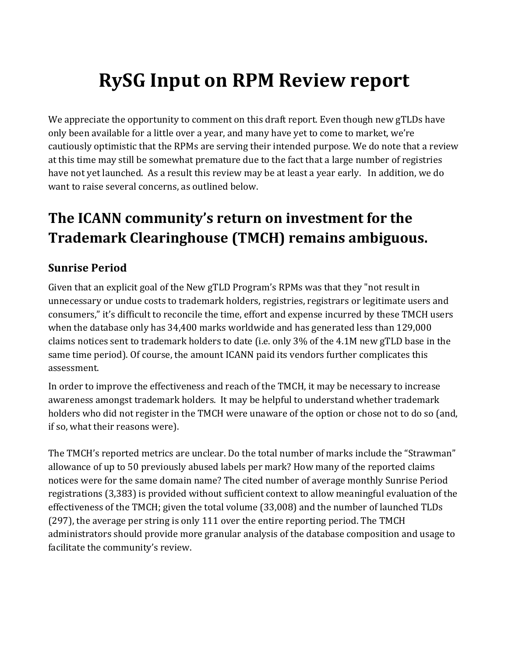# **RySG Input on RPM Review report**

We appreciate the opportunity to comment on this draft report. Even though new gTLDs have only been available for a little over a year, and many have yet to come to market, we're cautiously optimistic that the RPMs are serving their intended purpose. We do note that a review at this time may still be somewhat premature due to the fact that a large number of registries have not yet launched. As a result this review may be at least a year early. In addition, we do want to raise several concerns, as outlined below.

## **The ICANN community's return on investment for the Trademark Clearinghouse (TMCH) remains ambiguous.**

## **Sunrise Period**

Given that an explicit goal of the New gTLD Program's RPMs was that they "not result in unnecessary or undue costs to trademark holders, registries, registrars or legitimate users and consumers," it's difficult to reconcile the time, effort and expense incurred by these TMCH users when the database only has  $34,400$  marks worldwide and has generated less than  $129,000$ claims notices sent to trademark holders to date (i.e. only  $3\%$  of the 4.1M new gTLD base in the same time period). Of course, the amount ICANN paid its vendors further complicates this assessment.

In order to improve the effectiveness and reach of the TMCH, it may be necessary to increase awareness amongst trademark holders. It may be helpful to understand whether trademark holders who did not register in the TMCH were unaware of the option or chose not to do so (and, if so, what their reasons were).

The TMCH's reported metrics are unclear. Do the total number of marks include the "Strawman" allowance of up to 50 previously abused labels per mark? How many of the reported claims notices were for the same domain name? The cited number of average monthly Sunrise Period registrations (3,383) is provided without sufficient context to allow meaningful evaluation of the effectiveness of the TMCH; given the total volume (33,008) and the number of launched TLDs  $(297)$ , the average per string is only 111 over the entire reporting period. The TMCH administrators should provide more granular analysis of the database composition and usage to facilitate the community's review.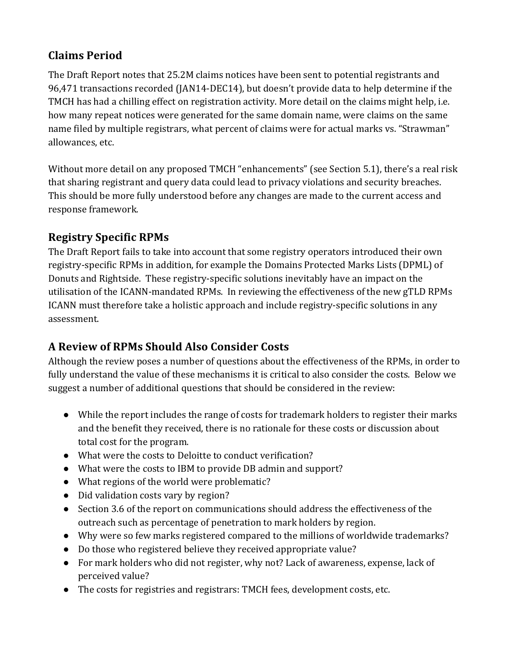### **Claims Period**

The Draft Report notes that 25.2M claims notices have been sent to potential registrants and 96,471 transactions recorded (JAN14-DEC14), but doesn't provide data to help determine if the TMCH has had a chilling effect on registration activity. More detail on the claims might help, i.e. how many repeat notices were generated for the same domain name, were claims on the same name filed by multiple registrars, what percent of claims were for actual marks vs. "Strawman" allowances, etc.

Without more detail on any proposed TMCH "enhancements" (see Section 5.1), there's a real risk that sharing registrant and query data could lead to privacy violations and security breaches. This should be more fully understood before any changes are made to the current access and response framework.

## **Registry Specific RPMs**

The Draft Report fails to take into account that some registry operators introduced their own registry-specific RPMs in addition, for example the Domains Protected Marks Lists (DPML) of Donuts and Rightside. These registry-specific solutions inevitably have an impact on the utilisation of the ICANN-mandated RPMs. In reviewing the effectiveness of the new gTLD RPMs ICANN must therefore take a holistic approach and include registry-specific solutions in any assessment.

## **A Review of RPMs Should Also Consider Costs**

Although the review poses a number of questions about the effectiveness of the RPMs, in order to fully understand the value of these mechanisms it is critical to also consider the costs. Below we suggest a number of additional questions that should be considered in the review:

- While the report includes the range of costs for trademark holders to register their marks and the benefit they received, there is no rationale for these costs or discussion about total cost for the program.
- What were the costs to Deloitte to conduct verification?
- What were the costs to IBM to provide DB admin and support?
- What regions of the world were problematic?
- Did validation costs vary by region?
- Section 3.6 of the report on communications should address the effectiveness of the outreach such as percentage of penetration to mark holders by region.
- Why were so few marks registered compared to the millions of worldwide trademarks?
- Do those who registered believe they received appropriate value?
- For mark holders who did not register, why not? Lack of awareness, expense, lack of perceived value?
- The costs for registries and registrars: TMCH fees, development costs, etc.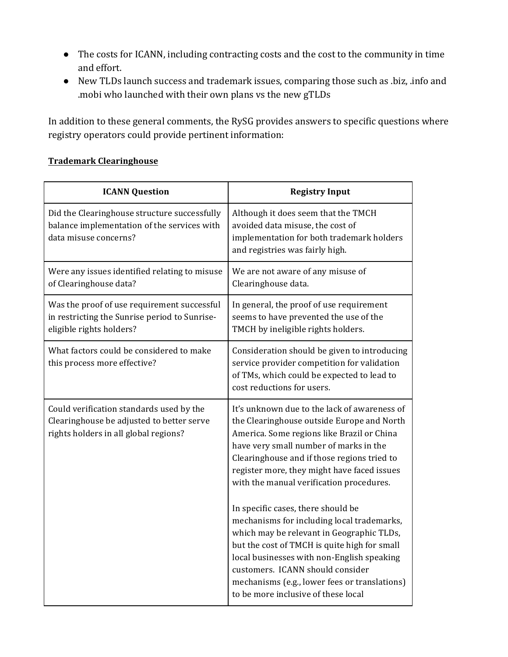- The costs for ICANN, including contracting costs and the cost to the community in time and effort.
- New TLDs launch success and trademark issues, comparing those such as .biz, .info and .mobi who launched with their own plans vs the new gTLDs

In addition to these general comments, the RySG provides answers to specific questions where registry operators could provide pertinent information:

#### **Trademark Clearinghouse**

| <b>ICANN Question</b>                                                                                                          | <b>Registry Input</b>                                                                                                                                                                                                                                                                                                                                                                                                                                                                                                                                                                                                                                                                   |
|--------------------------------------------------------------------------------------------------------------------------------|-----------------------------------------------------------------------------------------------------------------------------------------------------------------------------------------------------------------------------------------------------------------------------------------------------------------------------------------------------------------------------------------------------------------------------------------------------------------------------------------------------------------------------------------------------------------------------------------------------------------------------------------------------------------------------------------|
| Did the Clearinghouse structure successfully<br>balance implementation of the services with<br>data misuse concerns?           | Although it does seem that the TMCH<br>avoided data misuse, the cost of<br>implementation for both trademark holders<br>and registries was fairly high.                                                                                                                                                                                                                                                                                                                                                                                                                                                                                                                                 |
| Were any issues identified relating to misuse<br>of Clearinghouse data?                                                        | We are not aware of any misuse of<br>Clearinghouse data.                                                                                                                                                                                                                                                                                                                                                                                                                                                                                                                                                                                                                                |
| Was the proof of use requirement successful<br>in restricting the Sunrise period to Sunrise-<br>eligible rights holders?       | In general, the proof of use requirement<br>seems to have prevented the use of the<br>TMCH by ineligible rights holders.                                                                                                                                                                                                                                                                                                                                                                                                                                                                                                                                                                |
| What factors could be considered to make<br>this process more effective?                                                       | Consideration should be given to introducing<br>service provider competition for validation<br>of TMs, which could be expected to lead to<br>cost reductions for users.                                                                                                                                                                                                                                                                                                                                                                                                                                                                                                                 |
| Could verification standards used by the<br>Clearinghouse be adjusted to better serve<br>rights holders in all global regions? | It's unknown due to the lack of awareness of<br>the Clearinghouse outside Europe and North<br>America. Some regions like Brazil or China<br>have very small number of marks in the<br>Clearinghouse and if those regions tried to<br>register more, they might have faced issues<br>with the manual verification procedures.<br>In specific cases, there should be<br>mechanisms for including local trademarks,<br>which may be relevant in Geographic TLDs,<br>but the cost of TMCH is quite high for small<br>local businesses with non-English speaking<br>customers. ICANN should consider<br>mechanisms (e.g., lower fees or translations)<br>to be more inclusive of these local |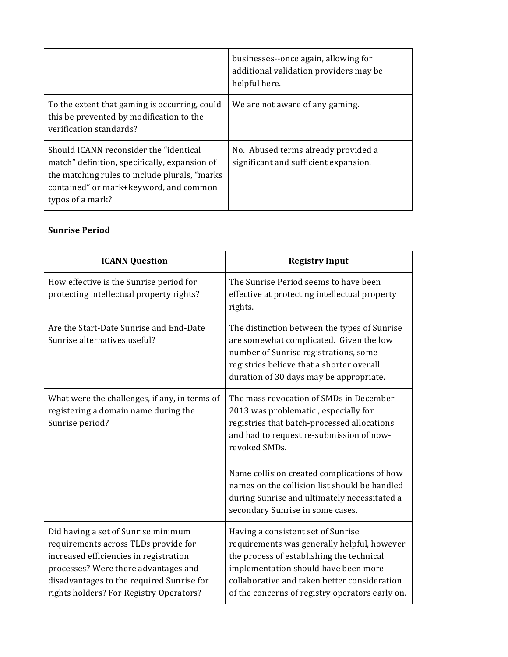|                                                                                                                                                                                                         | businesses--once again, allowing for<br>additional validation providers may be<br>helpful here. |
|---------------------------------------------------------------------------------------------------------------------------------------------------------------------------------------------------------|-------------------------------------------------------------------------------------------------|
| To the extent that gaming is occurring, could<br>this be prevented by modification to the<br>verification standards?                                                                                    | We are not aware of any gaming.                                                                 |
| Should ICANN reconsider the "identical<br>match" definition, specifically, expansion of<br>the matching rules to include plurals, "marks"<br>contained" or mark+keyword, and common<br>typos of a mark? | No. Abused terms already provided a<br>significant and sufficient expansion.                    |

#### **Sunrise Period**

| <b>ICANN Question</b>                                                                                                                                                                                                                                 | <b>Registry Input</b>                                                                                                                                                                                                                                                                                                                                                           |
|-------------------------------------------------------------------------------------------------------------------------------------------------------------------------------------------------------------------------------------------------------|---------------------------------------------------------------------------------------------------------------------------------------------------------------------------------------------------------------------------------------------------------------------------------------------------------------------------------------------------------------------------------|
| How effective is the Sunrise period for<br>protecting intellectual property rights?                                                                                                                                                                   | The Sunrise Period seems to have been<br>effective at protecting intellectual property<br>rights.                                                                                                                                                                                                                                                                               |
| Are the Start-Date Sunrise and End-Date<br>Sunrise alternatives useful?                                                                                                                                                                               | The distinction between the types of Sunrise<br>are somewhat complicated. Given the low<br>number of Sunrise registrations, some<br>registries believe that a shorter overall<br>duration of 30 days may be appropriate.                                                                                                                                                        |
| What were the challenges, if any, in terms of<br>registering a domain name during the<br>Sunrise period?                                                                                                                                              | The mass revocation of SMDs in December<br>2013 was problematic, especially for<br>registries that batch-processed allocations<br>and had to request re-submission of now-<br>revoked SMDs.<br>Name collision created complications of how<br>names on the collision list should be handled<br>during Sunrise and ultimately necessitated a<br>secondary Sunrise in some cases. |
| Did having a set of Sunrise minimum<br>requirements across TLDs provide for<br>increased efficiencies in registration<br>processes? Were there advantages and<br>disadvantages to the required Sunrise for<br>rights holders? For Registry Operators? | Having a consistent set of Sunrise<br>requirements was generally helpful, however<br>the process of establishing the technical<br>implementation should have been more<br>collaborative and taken better consideration<br>of the concerns of registry operators early on.                                                                                                       |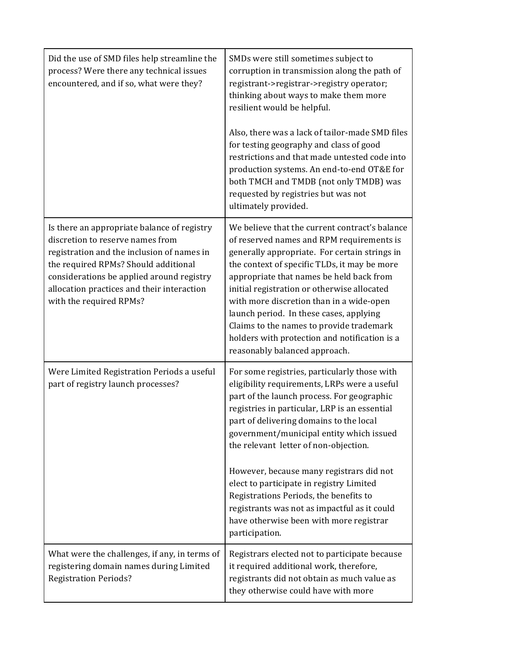| Did the use of SMD files help streamline the<br>process? Were there any technical issues<br>encountered, and if so, what were they?                                                                                                                                                         | SMDs were still sometimes subject to<br>corruption in transmission along the path of<br>registrant->registrar->registry operator;<br>thinking about ways to make them more<br>resilient would be helpful.<br>Also, there was a lack of tailor-made SMD files<br>for testing geography and class of good<br>restrictions and that made untested code into<br>production systems. An end-to-end OT&E for<br>both TMCH and TMDB (not only TMDB) was<br>requested by registries but was not<br>ultimately provided.                                                            |
|---------------------------------------------------------------------------------------------------------------------------------------------------------------------------------------------------------------------------------------------------------------------------------------------|----------------------------------------------------------------------------------------------------------------------------------------------------------------------------------------------------------------------------------------------------------------------------------------------------------------------------------------------------------------------------------------------------------------------------------------------------------------------------------------------------------------------------------------------------------------------------|
| Is there an appropriate balance of registry<br>discretion to reserve names from<br>registration and the inclusion of names in<br>the required RPMs? Should additional<br>considerations be applied around registry<br>allocation practices and their interaction<br>with the required RPMs? | We believe that the current contract's balance<br>of reserved names and RPM requirements is<br>generally appropriate. For certain strings in<br>the context of specific TLDs, it may be more<br>appropriate that names be held back from<br>initial registration or otherwise allocated<br>with more discretion than in a wide-open<br>launch period. In these cases, applying<br>Claims to the names to provide trademark<br>holders with protection and notification is a<br>reasonably balanced approach.                                                               |
| Were Limited Registration Periods a useful<br>part of registry launch processes?                                                                                                                                                                                                            | For some registries, particularly those with<br>eligibility requirements, LRPs were a useful<br>part of the launch process. For geographic<br>registries in particular, LRP is an essential<br>part of delivering domains to the local<br>government/municipal entity which issued<br>the relevant letter of non-objection.<br>However, because many registrars did not<br>elect to participate in registry Limited<br>Registrations Periods, the benefits to<br>registrants was not as impactful as it could<br>have otherwise been with more registrar<br>participation. |
| What were the challenges, if any, in terms of<br>registering domain names during Limited<br><b>Registration Periods?</b>                                                                                                                                                                    | Registrars elected not to participate because<br>it required additional work, therefore,<br>registrants did not obtain as much value as<br>they otherwise could have with more                                                                                                                                                                                                                                                                                                                                                                                             |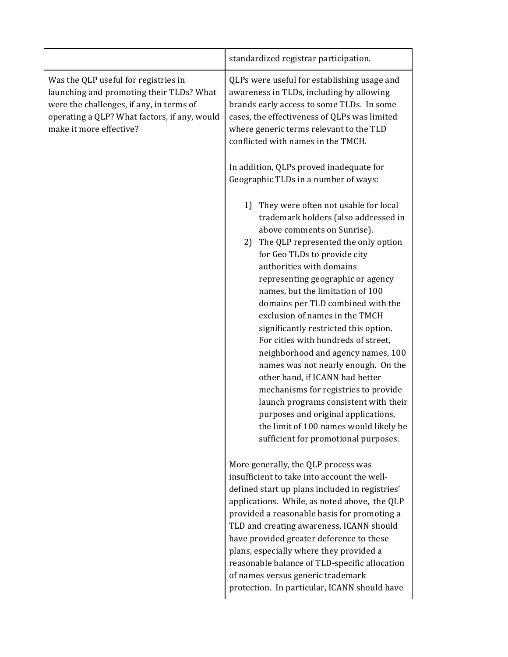|                                                                                                                                                                                                         | standardized registrar participation.                                                                                                                                                                                                                                                                                                                                                                                                                                                                                                                                                                                                                                                                                                                                             |
|---------------------------------------------------------------------------------------------------------------------------------------------------------------------------------------------------------|-----------------------------------------------------------------------------------------------------------------------------------------------------------------------------------------------------------------------------------------------------------------------------------------------------------------------------------------------------------------------------------------------------------------------------------------------------------------------------------------------------------------------------------------------------------------------------------------------------------------------------------------------------------------------------------------------------------------------------------------------------------------------------------|
| Was the QLP useful for registries in<br>launching and promoting their TLDs? What<br>were the challenges, if any, in terms of<br>operating a QLP? What factors, if any, would<br>make it more effective? | QLPs were useful for establishing usage and<br>awareness in TLDs, including by allowing<br>brands early access to some TLDs. In some<br>cases, the effectiveness of QLPs was limited<br>where generic terms relevant to the TLD<br>conflicted with names in the TMCH.                                                                                                                                                                                                                                                                                                                                                                                                                                                                                                             |
|                                                                                                                                                                                                         | In addition, QLPs proved inadequate for<br>Geographic TLDs in a number of ways:                                                                                                                                                                                                                                                                                                                                                                                                                                                                                                                                                                                                                                                                                                   |
|                                                                                                                                                                                                         | They were often not usable for local<br>1)<br>trademark holders (also addressed in<br>above comments on Sunrise).<br>2) The QLP represented the only option<br>for Geo TLDs to provide city<br>authorities with domains<br>representing geographic or agency<br>names, but the limitation of 100<br>domains per TLD combined with the<br>exclusion of names in the TMCH<br>significantly restricted this option.<br>For cities with hundreds of street,<br>neighborhood and agency names, 100<br>names was not nearly enough. On the<br>other hand, if ICANN had better<br>mechanisms for registries to provide<br>launch programs consistent with their<br>purposes and original applications,<br>the limit of 100 names would likely be<br>sufficient for promotional purposes. |
|                                                                                                                                                                                                         | More generally, the QLP process was<br>insufficient to take into account the well-<br>defined start up plans included in registries'<br>applications. While, as noted above, the QLP<br>provided a reasonable basis for promoting a<br>TLD and creating awareness, ICANN should<br>have provided greater deference to these<br>plans, especially where they provided a<br>reasonable balance of TLD-specific allocation<br>of names versus generic trademark<br>protection. In particular, ICANN should have                                                                                                                                                                                                                                                                      |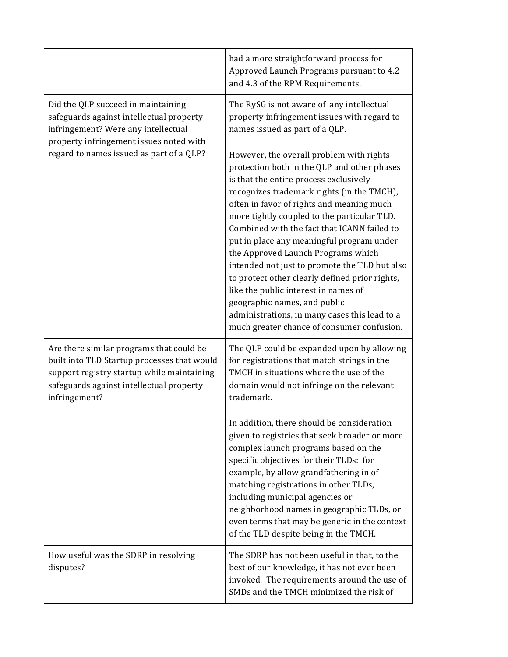|                                                                                                                                                                                                    | had a more straightforward process for<br>Approved Launch Programs pursuant to 4.2<br>and 4.3 of the RPM Requirements.                                                                                                                                                                                                                                                                                                                                                                                                                                                                                                                                                                  |
|----------------------------------------------------------------------------------------------------------------------------------------------------------------------------------------------------|-----------------------------------------------------------------------------------------------------------------------------------------------------------------------------------------------------------------------------------------------------------------------------------------------------------------------------------------------------------------------------------------------------------------------------------------------------------------------------------------------------------------------------------------------------------------------------------------------------------------------------------------------------------------------------------------|
| Did the QLP succeed in maintaining<br>safeguards against intellectual property<br>infringement? Were any intellectual<br>property infringement issues noted with                                   | The RySG is not aware of any intellectual<br>property infringement issues with regard to<br>names issued as part of a QLP.                                                                                                                                                                                                                                                                                                                                                                                                                                                                                                                                                              |
| regard to names issued as part of a QLP?                                                                                                                                                           | However, the overall problem with rights<br>protection both in the QLP and other phases<br>is that the entire process exclusively<br>recognizes trademark rights (in the TMCH),<br>often in favor of rights and meaning much<br>more tightly coupled to the particular TLD.<br>Combined with the fact that ICANN failed to<br>put in place any meaningful program under<br>the Approved Launch Programs which<br>intended not just to promote the TLD but also<br>to protect other clearly defined prior rights,<br>like the public interest in names of<br>geographic names, and public<br>administrations, in many cases this lead to a<br>much greater chance of consumer confusion. |
| Are there similar programs that could be<br>built into TLD Startup processes that would<br>support registry startup while maintaining<br>safeguards against intellectual property<br>infringement? | The QLP could be expanded upon by allowing<br>for registrations that match strings in the<br>TMCH in situations where the use of the<br>domain would not infringe on the relevant<br>trademark.                                                                                                                                                                                                                                                                                                                                                                                                                                                                                         |
|                                                                                                                                                                                                    | In addition, there should be consideration<br>given to registries that seek broader or more<br>complex launch programs based on the<br>specific objectives for their TLDs: for<br>example, by allow grandfathering in of<br>matching registrations in other TLDs,<br>including municipal agencies or<br>neighborhood names in geographic TLDs, or<br>even terms that may be generic in the context<br>of the TLD despite being in the TMCH.                                                                                                                                                                                                                                             |
| How useful was the SDRP in resolving<br>disputes?                                                                                                                                                  | The SDRP has not been useful in that, to the<br>best of our knowledge, it has not ever been<br>invoked. The requirements around the use of<br>SMDs and the TMCH minimized the risk of                                                                                                                                                                                                                                                                                                                                                                                                                                                                                                   |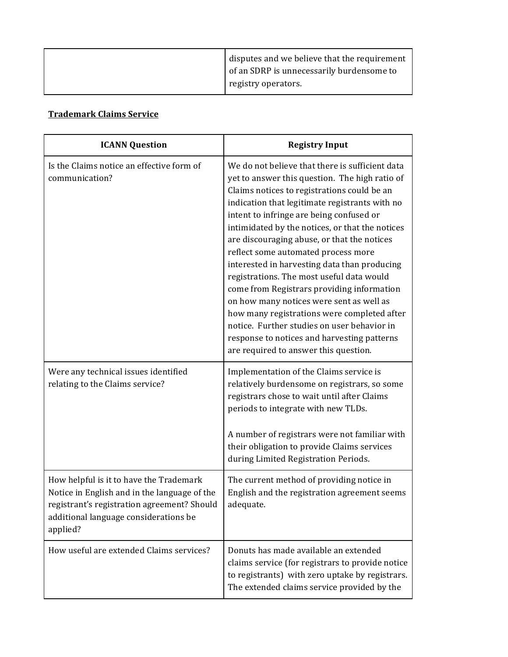| disputes and we believe that the requirement<br>of an SDRP is unnecessarily burdensome to |
|-------------------------------------------------------------------------------------------|
| registry operators.                                                                       |

#### **Trademark Claims Service**

| <b>ICANN Question</b>                                                                                                                                                                       | <b>Registry Input</b>                                                                                                                                                                                                                                                                                                                                                                                                                                                                                                                                                                                                                                                                                                                                                |
|---------------------------------------------------------------------------------------------------------------------------------------------------------------------------------------------|----------------------------------------------------------------------------------------------------------------------------------------------------------------------------------------------------------------------------------------------------------------------------------------------------------------------------------------------------------------------------------------------------------------------------------------------------------------------------------------------------------------------------------------------------------------------------------------------------------------------------------------------------------------------------------------------------------------------------------------------------------------------|
| Is the Claims notice an effective form of<br>communication?                                                                                                                                 | We do not believe that there is sufficient data<br>yet to answer this question. The high ratio of<br>Claims notices to registrations could be an<br>indication that legitimate registrants with no<br>intent to infringe are being confused or<br>intimidated by the notices, or that the notices<br>are discouraging abuse, or that the notices<br>reflect some automated process more<br>interested in harvesting data than producing<br>registrations. The most useful data would<br>come from Registrars providing information<br>on how many notices were sent as well as<br>how many registrations were completed after<br>notice. Further studies on user behavior in<br>response to notices and harvesting patterns<br>are required to answer this question. |
| Were any technical issues identified<br>relating to the Claims service?                                                                                                                     | Implementation of the Claims service is<br>relatively burdensome on registrars, so some<br>registrars chose to wait until after Claims<br>periods to integrate with new TLDs.<br>A number of registrars were not familiar with<br>their obligation to provide Claims services<br>during Limited Registration Periods.                                                                                                                                                                                                                                                                                                                                                                                                                                                |
| How helpful is it to have the Trademark<br>Notice in English and in the language of the<br>registrant's registration agreement? Should<br>additional language considerations be<br>applied? | The current method of providing notice in<br>English and the registration agreement seems<br>adequate.                                                                                                                                                                                                                                                                                                                                                                                                                                                                                                                                                                                                                                                               |
| How useful are extended Claims services?                                                                                                                                                    | Donuts has made available an extended<br>claims service (for registrars to provide notice<br>to registrants) with zero uptake by registrars.<br>The extended claims service provided by the                                                                                                                                                                                                                                                                                                                                                                                                                                                                                                                                                                          |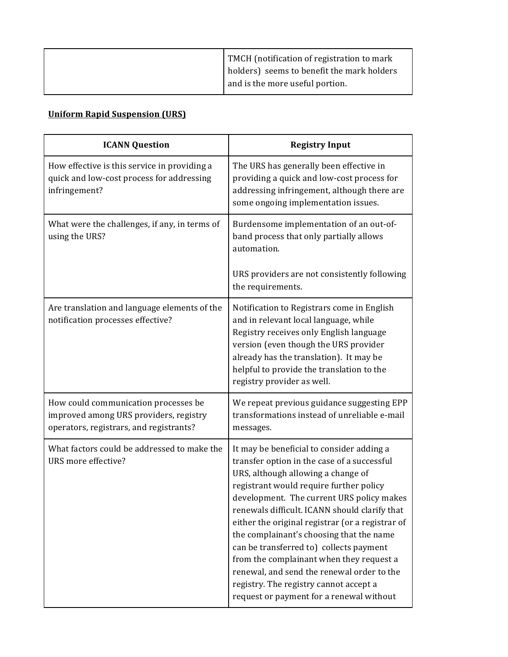| TMCH (notification of registration to mark |
|--------------------------------------------|
| holders) seems to benefit the mark holders |
| and is the more useful portion.            |

#### **Uniform Rapid Suspension (URS)**

| <b>ICANN Question</b>                                                                                                     | <b>Registry Input</b>                                                                                                                                                                                                                                                                                                                                                                                                                                                                                                                                                                              |
|---------------------------------------------------------------------------------------------------------------------------|----------------------------------------------------------------------------------------------------------------------------------------------------------------------------------------------------------------------------------------------------------------------------------------------------------------------------------------------------------------------------------------------------------------------------------------------------------------------------------------------------------------------------------------------------------------------------------------------------|
| How effective is this service in providing a<br>quick and low-cost process for addressing<br>infringement?                | The URS has generally been effective in<br>providing a quick and low-cost process for<br>addressing infringement, although there are<br>some ongoing implementation issues.                                                                                                                                                                                                                                                                                                                                                                                                                        |
| What were the challenges, if any, in terms of<br>using the URS?                                                           | Burdensome implementation of an out-of-<br>band process that only partially allows<br>automation.<br>URS providers are not consistently following<br>the requirements.                                                                                                                                                                                                                                                                                                                                                                                                                             |
| Are translation and language elements of the<br>notification processes effective?                                         | Notification to Registrars come in English<br>and in relevant local language, while<br>Registry receives only English language<br>version (even though the URS provider<br>already has the translation). It may be<br>helpful to provide the translation to the<br>registry provider as well.                                                                                                                                                                                                                                                                                                      |
| How could communication processes be<br>improved among URS providers, registry<br>operators, registrars, and registrants? | We repeat previous guidance suggesting EPP<br>transformations instead of unreliable e-mail<br>messages.                                                                                                                                                                                                                                                                                                                                                                                                                                                                                            |
| What factors could be addressed to make the<br>URS more effective?                                                        | It may be beneficial to consider adding a<br>transfer option in the case of a successful<br>URS, although allowing a change of<br>registrant would require further policy<br>development. The current URS policy makes<br>renewals difficult. ICANN should clarify that<br>either the original registrar (or a registrar of<br>the complainant's choosing that the name<br>can be transferred to) collects payment<br>from the complainant when they request a<br>renewal, and send the renewal order to the<br>registry. The registry cannot accept a<br>request or payment for a renewal without |